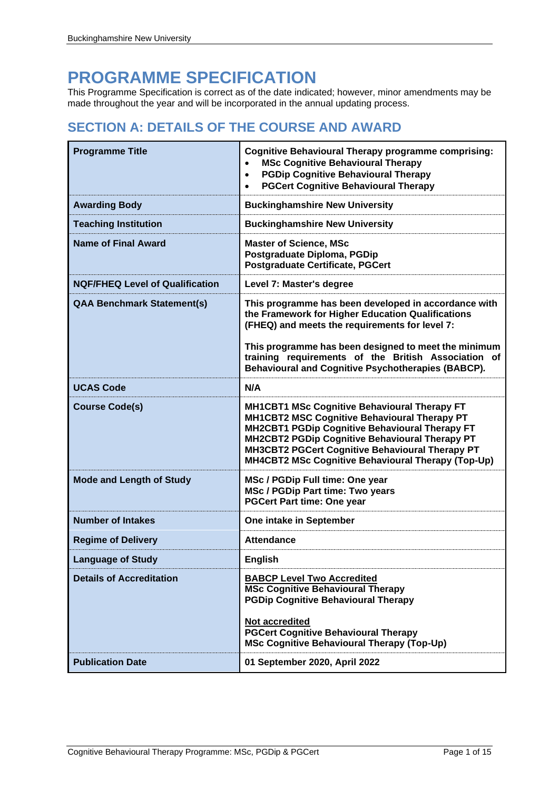## **PROGRAMME SPECIFICATION**

This Programme Specification is correct as of the date indicated; however, minor amendments may be made throughout the year and will be incorporated in the annual updating process.

## **SECTION A: DETAILS OF THE COURSE AND AWARD**

| <b>Programme Title</b>                 | <b>Cognitive Behavioural Therapy programme comprising:</b><br><b>MSc Cognitive Behavioural Therapy</b><br><b>PGDip Cognitive Behavioural Therapy</b><br>$\bullet$<br><b>PGCert Cognitive Behavioural Therapy</b><br>$\bullet$                                                                                    |
|----------------------------------------|------------------------------------------------------------------------------------------------------------------------------------------------------------------------------------------------------------------------------------------------------------------------------------------------------------------|
| <b>Awarding Body</b>                   | <b>Buckinghamshire New University</b>                                                                                                                                                                                                                                                                            |
| <b>Teaching Institution</b>            | <b>Buckinghamshire New University</b>                                                                                                                                                                                                                                                                            |
| <b>Name of Final Award</b>             | <b>Master of Science, MSc</b><br>Postgraduate Diploma, PGDip<br><b>Postgraduate Certificate, PGCert</b>                                                                                                                                                                                                          |
| <b>NQF/FHEQ Level of Qualification</b> | Level 7: Master's degree                                                                                                                                                                                                                                                                                         |
| <b>QAA Benchmark Statement(s)</b>      | This programme has been developed in accordance with<br>the Framework for Higher Education Qualifications<br>(FHEQ) and meets the requirements for level 7:                                                                                                                                                      |
|                                        | This programme has been designed to meet the minimum<br>training requirements of the British Association of<br><b>Behavioural and Cognitive Psychotherapies (BABCP).</b>                                                                                                                                         |
| <b>UCAS Code</b>                       | N/A                                                                                                                                                                                                                                                                                                              |
| <b>Course Code(s)</b>                  | <b>MH1CBT1 MSc Cognitive Behavioural Therapy FT</b><br>MH1CBT2 MSC Cognitive Behavioural Therapy PT<br>MH2CBT1 PGDip Cognitive Behavioural Therapy FT<br>MH2CBT2 PGDip Cognitive Behavioural Therapy PT<br>MH3CBT2 PGCert Cognitive Behavioural Therapy PT<br>MH4CBT2 MSc Cognitive Behavioural Therapy (Top-Up) |
| <b>Mode and Length of Study</b>        | MSc / PGDip Full time: One year<br><b>MSc / PGDip Part time: Two years</b><br><b>PGCert Part time: One year</b>                                                                                                                                                                                                  |
| <b>Number of Intakes</b>               | One intake in September                                                                                                                                                                                                                                                                                          |
| <b>Regime of Delivery</b>              | <b>Attendance</b>                                                                                                                                                                                                                                                                                                |
| <b>Language of Study</b>               | <b>English</b>                                                                                                                                                                                                                                                                                                   |
| <b>Details of Accreditation</b>        | <b>BABCP Level Two Accredited</b><br><b>MSc Cognitive Behavioural Therapy</b><br><b>PGDip Cognitive Behavioural Therapy</b>                                                                                                                                                                                      |
|                                        | Not accredited<br><b>PGCert Cognitive Behavioural Therapy</b><br><b>MSc Cognitive Behavioural Therapy (Top-Up)</b>                                                                                                                                                                                               |
| <b>Publication Date</b>                | 01 September 2020, April 2022                                                                                                                                                                                                                                                                                    |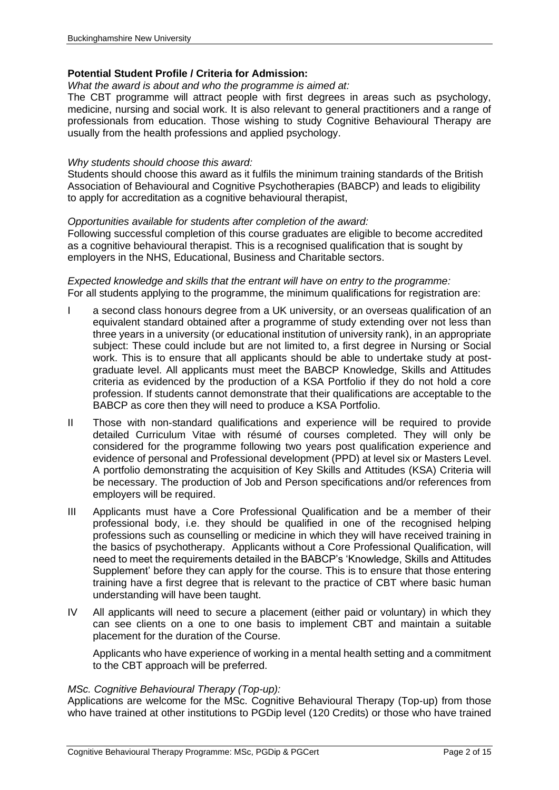#### **Potential Student Profile / Criteria for Admission:**

*What the award is about and who the programme is aimed at:*

The CBT programme will attract people with first degrees in areas such as psychology, medicine, nursing and social work. It is also relevant to general practitioners and a range of professionals from education. Those wishing to study Cognitive Behavioural Therapy are usually from the health professions and applied psychology.

#### *Why students should choose this award:*

Students should choose this award as it fulfils the minimum training standards of the British Association of Behavioural and Cognitive Psychotherapies (BABCP) and leads to eligibility to apply for accreditation as a cognitive behavioural therapist,

#### *Opportunities available for students after completion of the award:*

Following successful completion of this course graduates are eligible to become accredited as a cognitive behavioural therapist. This is a recognised qualification that is sought by employers in the NHS, Educational, Business and Charitable sectors.

#### *Expected knowledge and skills that the entrant will have on entry to the programme:* For all students applying to the programme, the minimum qualifications for registration are:

- a second class honours degree from a UK university, or an overseas qualification of an equivalent standard obtained after a programme of study extending over not less than three years in a university (or educational institution of university rank), in an appropriate subject: These could include but are not limited to, a first degree in Nursing or Social work. This is to ensure that all applicants should be able to undertake study at postgraduate level. All applicants must meet the BABCP Knowledge, Skills and Attitudes criteria as evidenced by the production of a KSA Portfolio if they do not hold a core profession. If students cannot demonstrate that their qualifications are acceptable to the BABCP as core then they will need to produce a KSA Portfolio.
- II Those with non-standard qualifications and experience will be required to provide detailed Curriculum Vitae with résumé of courses completed. They will only be considered for the programme following two years post qualification experience and evidence of personal and Professional development (PPD) at level six or Masters Level. A portfolio demonstrating the acquisition of Key Skills and Attitudes (KSA) Criteria will be necessary. The production of Job and Person specifications and/or references from employers will be required.
- III Applicants must have a Core Professional Qualification and be a member of their professional body, i.e. they should be qualified in one of the recognised helping professions such as counselling or medicine in which they will have received training in the basics of psychotherapy. Applicants without a Core Professional Qualification, will need to meet the requirements detailed in the BABCP's 'Knowledge, Skills and Attitudes Supplement' before they can apply for the course. This is to ensure that those entering training have a first degree that is relevant to the practice of CBT where basic human understanding will have been taught.
- IV All applicants will need to secure a placement (either paid or voluntary) in which they can see clients on a one to one basis to implement CBT and maintain a suitable placement for the duration of the Course.

Applicants who have experience of working in a mental health setting and a commitment to the CBT approach will be preferred.

#### *MSc. Cognitive Behavioural Therapy (Top-up):*

Applications are welcome for the MSc. Cognitive Behavioural Therapy (Top-up) from those who have trained at other institutions to PGDip level (120 Credits) or those who have trained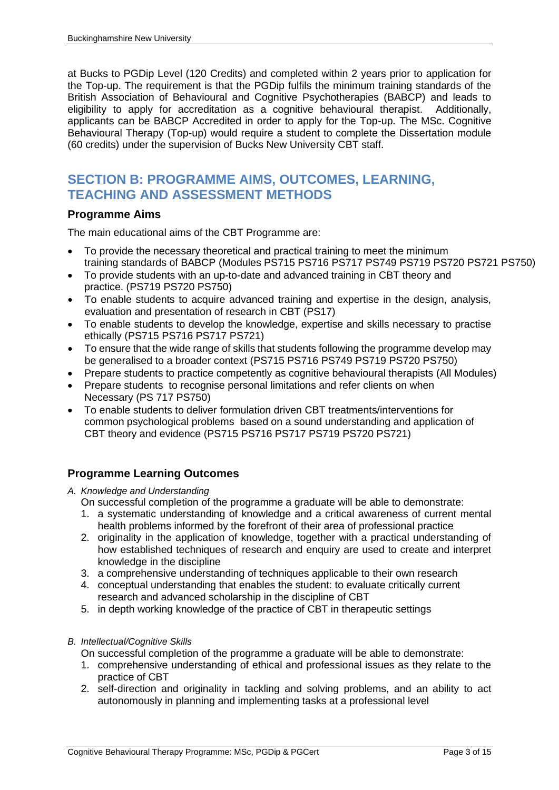at Bucks to PGDip Level (120 Credits) and completed within 2 years prior to application for the Top-up. The requirement is that the PGDip fulfils the minimum training standards of the British Association of Behavioural and Cognitive Psychotherapies (BABCP) and leads to eligibility to apply for accreditation as a cognitive behavioural therapist. Additionally, applicants can be BABCP Accredited in order to apply for the Top-up. The MSc. Cognitive Behavioural Therapy (Top-up) would require a student to complete the Dissertation module (60 credits) under the supervision of Bucks New University CBT staff.

## **SECTION B: PROGRAMME AIMS, OUTCOMES, LEARNING, TEACHING AND ASSESSMENT METHODS**

#### **Programme Aims**

The main educational aims of the CBT Programme are:

- To provide the necessary theoretical and practical training to meet the minimum training standards of BABCP (Modules PS715 PS716 PS717 PS749 PS719 PS720 PS721 PS750)
- To provide students with an up-to-date and advanced training in CBT theory and practice. (PS719 PS720 PS750)
- To enable students to acquire advanced training and expertise in the design, analysis, evaluation and presentation of research in CBT (PS17)
- To enable students to develop the knowledge, expertise and skills necessary to practise ethically (PS715 PS716 PS717 PS721)
- To ensure that the wide range of skills that students following the programme develop may be generalised to a broader context (PS715 PS716 PS749 PS719 PS720 PS750)
- Prepare students to practice competently as cognitive behavioural therapists (All Modules)
- Prepare students to recognise personal limitations and refer clients on when Necessary (PS 717 PS750)
- To enable students to deliver formulation driven CBT treatments/interventions for common psychological problems based on a sound understanding and application of CBT theory and evidence (PS715 PS716 PS717 PS719 PS720 PS721)

#### **Programme Learning Outcomes**

#### *A. Knowledge and Understanding*

- On successful completion of the programme a graduate will be able to demonstrate:
- 1. a systematic understanding of knowledge and a critical awareness of current mental health problems informed by the forefront of their area of professional practice
- 2. originality in the application of knowledge, together with a practical understanding of how established techniques of research and enquiry are used to create and interpret knowledge in the discipline
- 3. a comprehensive understanding of techniques applicable to their own research
- 4. conceptual understanding that enables the student: to evaluate critically current research and advanced scholarship in the discipline of CBT
- 5. in depth working knowledge of the practice of CBT in therapeutic settings

#### *B. Intellectual/Cognitive Skills*

On successful completion of the programme a graduate will be able to demonstrate:

- 1. comprehensive understanding of ethical and professional issues as they relate to the practice of CBT
- 2. self-direction and originality in tackling and solving problems, and an ability to act autonomously in planning and implementing tasks at a professional level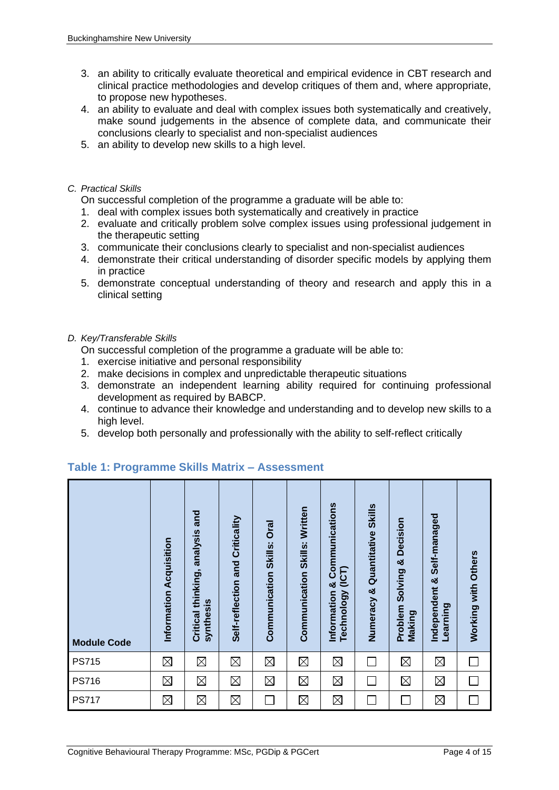- 3. an ability to critically evaluate theoretical and empirical evidence in CBT research and clinical practice methodologies and develop critiques of them and, where appropriate, to propose new hypotheses.
- 4. an ability to evaluate and deal with complex issues both systematically and creatively, make sound judgements in the absence of complete data, and communicate their conclusions clearly to specialist and non-specialist audiences
- 5. an ability to develop new skills to a high level.

#### *C. Practical Skills*

On successful completion of the programme a graduate will be able to:

- 1. deal with complex issues both systematically and creatively in practice
- 2. evaluate and critically problem solve complex issues using professional judgement in the therapeutic setting
- 3. communicate their conclusions clearly to specialist and non-specialist audiences
- 4. demonstrate their critical understanding of disorder specific models by applying them in practice
- 5. demonstrate conceptual understanding of theory and research and apply this in a clinical setting

#### *D. Key/Transferable Skills*

On successful completion of the programme a graduate will be able to:

- 1. exercise initiative and personal responsibility
- 2. make decisions in complex and unpredictable therapeutic situations
- 3. demonstrate an independent learning ability required for continuing professional development as required by BABCP.
- 4. continue to advance their knowledge and understanding and to develop new skills to a high level.
- 5. develop both personally and professionally with the ability to self-reflect critically

| <b>Module Code</b> | Information Acquisition | and<br>Critical thinking, analysis<br>synthesis | Self-reflection and Criticality | <b>Oral</b><br><b>Communication Skills:</b> | Written<br><b>Communication Skills:</b> | Communications<br>(ICT)<br>ಶ<br>Technology<br>Information | <b>Skills</b><br>Numeracy & Quantitative | Decision<br>ಳ<br>Solving<br>Problem<br><b>Making</b> | Self-managed<br>Independent &<br>Learning | Working with Others |
|--------------------|-------------------------|-------------------------------------------------|---------------------------------|---------------------------------------------|-----------------------------------------|-----------------------------------------------------------|------------------------------------------|------------------------------------------------------|-------------------------------------------|---------------------|
| <b>PS715</b>       | $\boxtimes$             | $\boxtimes$                                     | $\boxtimes$                     | $\boxtimes$                                 | $\boxtimes$                             | $\boxtimes$                                               | $\Box$                                   | $\boxtimes$                                          | $\boxtimes$                               |                     |
| <b>PS716</b>       | $\boxtimes$             | $\boxtimes$                                     | $\boxtimes$                     | $\boxtimes$                                 | $\boxtimes$                             | $\boxtimes$                                               | $\overline{\phantom{a}}$                 | $\boxtimes$                                          | $\boxtimes$                               |                     |
| <b>PS717</b>       | $\boxtimes$             | $\boxtimes$                                     | $\boxtimes$                     |                                             | $\boxtimes$                             | $\boxtimes$                                               | T.                                       |                                                      | $\boxtimes$                               |                     |

#### **Table 1: Programme Skills Matrix – Assessment**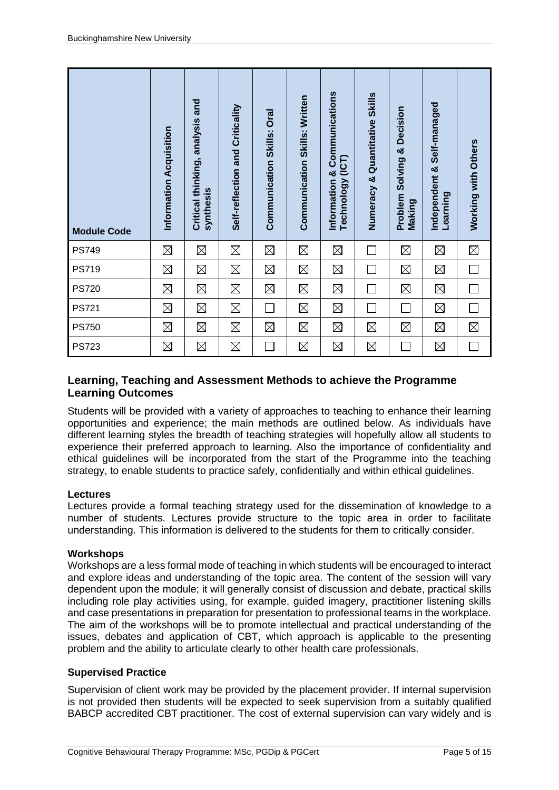| <b>Module Code</b> | Information Acquisition | Critical thinking, analysis and<br>synthesis | Self-reflection and Criticality | Communication Skills: Oral | Communication Skills: Written | Information & Communications<br>Technology (ICT) | Numeracy & Quantitative Skills | <b>Problem Solving &amp; Decision</b><br><b>Making</b> | Independent & Self-managed<br>Learning | Working with Others      |
|--------------------|-------------------------|----------------------------------------------|---------------------------------|----------------------------|-------------------------------|--------------------------------------------------|--------------------------------|--------------------------------------------------------|----------------------------------------|--------------------------|
| <b>PS749</b>       | $\boxtimes$             | $\boxtimes$                                  | $\boxtimes$                     | $\boxtimes$                | $\boxtimes$                   | $\boxtimes$                                      |                                | $\boxtimes$                                            | $\boxtimes$                            | $\boxtimes$              |
| <b>PS719</b>       | $\boxtimes$             | $\boxtimes$                                  | $\boxtimes$                     | $\boxtimes$                | $\boxtimes$                   | $\boxtimes$                                      |                                | $\boxtimes$                                            | $\boxtimes$                            | $\Box$                   |
| <b>PS720</b>       | $\boxtimes$             | $\boxtimes$                                  | $\boxtimes$                     | $\boxtimes$                | $\boxtimes$                   | $\boxtimes$                                      |                                | $\boxtimes$                                            | $\boxtimes$                            | $\Box$                   |
| <b>PS721</b>       | $\boxtimes$             | $\boxtimes$                                  | $\boxtimes$                     |                            | $\boxtimes$                   | $\boxtimes$                                      |                                |                                                        | $\boxtimes$                            | $\overline{\phantom{0}}$ |
| <b>PS750</b>       | $\boxtimes$             | $\boxtimes$                                  | $\boxtimes$                     | $\boxtimes$                | $\boxtimes$                   | $\boxtimes$                                      | $\boxtimes$                    | $\boxtimes$                                            | $\boxtimes$                            | $\boxtimes$              |
| <b>PS723</b>       | $\boxtimes$             | $\boxtimes$                                  | $\boxtimes$                     |                            | $\boxtimes$                   | $\boxtimes$                                      | $\boxtimes$                    |                                                        | $\boxtimes$                            | П                        |

#### **Learning, Teaching and Assessment Methods to achieve the Programme Learning Outcomes**

Students will be provided with a variety of approaches to teaching to enhance their learning opportunities and experience; the main methods are outlined below. As individuals have different learning styles the breadth of teaching strategies will hopefully allow all students to experience their preferred approach to learning. Also the importance of confidentiality and ethical guidelines will be incorporated from the start of the Programme into the teaching strategy, to enable students to practice safely, confidentially and within ethical guidelines.

#### **Lectures**

Lectures provide a formal teaching strategy used for the dissemination of knowledge to a number of students. Lectures provide structure to the topic area in order to facilitate understanding. This information is delivered to the students for them to critically consider.

#### **Workshops**

Workshops are a less formal mode of teaching in which students will be encouraged to interact and explore ideas and understanding of the topic area. The content of the session will vary dependent upon the module; it will generally consist of discussion and debate, practical skills including role play activities using, for example, guided imagery, practitioner listening skills and case presentations in preparation for presentation to professional teams in the workplace. The aim of the workshops will be to promote intellectual and practical understanding of the issues, debates and application of CBT, which approach is applicable to the presenting problem and the ability to articulate clearly to other health care professionals.

#### **Supervised Practice**

Supervision of client work may be provided by the placement provider. If internal supervision is not provided then students will be expected to seek supervision from a suitably qualified BABCP accredited CBT practitioner. The cost of external supervision can vary widely and is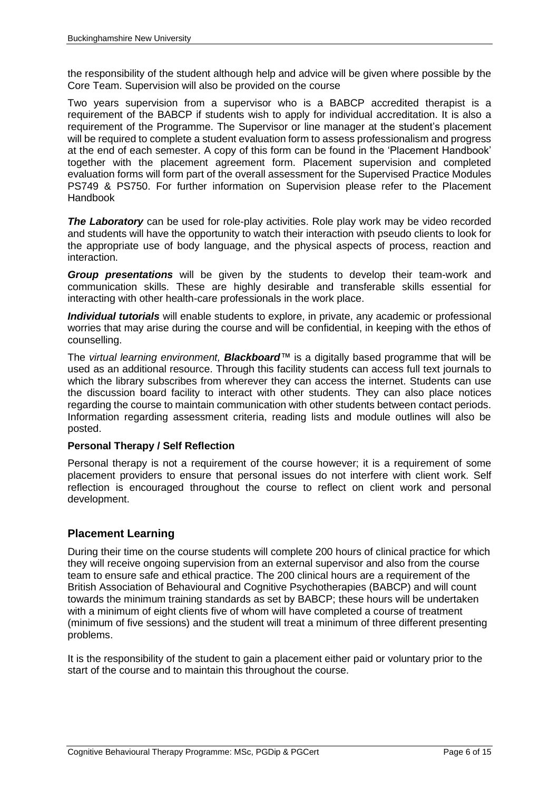the responsibility of the student although help and advice will be given where possible by the Core Team. Supervision will also be provided on the course

Two years supervision from a supervisor who is a BABCP accredited therapist is a requirement of the BABCP if students wish to apply for individual accreditation. It is also a requirement of the Programme. The Supervisor or line manager at the student's placement will be required to complete a student evaluation form to assess professionalism and progress at the end of each semester. A copy of this form can be found in the 'Placement Handbook' together with the placement agreement form. Placement supervision and completed evaluation forms will form part of the overall assessment for the Supervised Practice Modules PS749 & PS750. For further information on Supervision please refer to the Placement Handbook

**The Laboratory** can be used for role-play activities. Role play work may be video recorded and students will have the opportunity to watch their interaction with pseudo clients to look for the appropriate use of body language, and the physical aspects of process, reaction and interaction.

*Group presentations* will be given by the students to develop their team-work and communication skills. These are highly desirable and transferable skills essential for interacting with other health-care professionals in the work place.

*Individual tutorials* will enable students to explore, in private, any academic or professional worries that may arise during the course and will be confidential, in keeping with the ethos of counselling.

The *virtual learning environment, Blackboard™* is a digitally based programme that will be used as an additional resource. Through this facility students can access full text journals to which the library subscribes from wherever they can access the internet. Students can use the discussion board facility to interact with other students. They can also place notices regarding the course to maintain communication with other students between contact periods. Information regarding assessment criteria, reading lists and module outlines will also be posted.

#### **Personal Therapy / Self Reflection**

Personal therapy is not a requirement of the course however; it is a requirement of some placement providers to ensure that personal issues do not interfere with client work. Self reflection is encouraged throughout the course to reflect on client work and personal development.

#### **Placement Learning**

During their time on the course students will complete 200 hours of clinical practice for which they will receive ongoing supervision from an external supervisor and also from the course team to ensure safe and ethical practice. The 200 clinical hours are a requirement of the British Association of Behavioural and Cognitive Psychotherapies (BABCP) and will count towards the minimum training standards as set by BABCP; these hours will be undertaken with a minimum of eight clients five of whom will have completed a course of treatment (minimum of five sessions) and the student will treat a minimum of three different presenting problems.

It is the responsibility of the student to gain a placement either paid or voluntary prior to the start of the course and to maintain this throughout the course.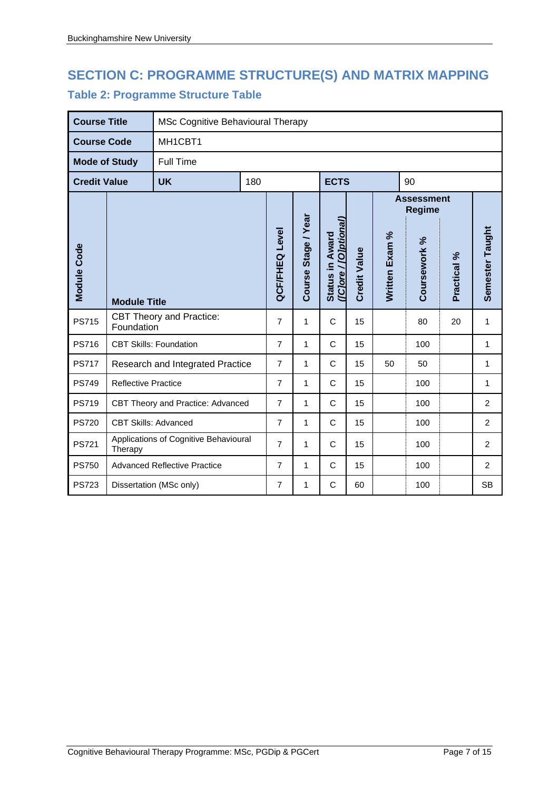# **SECTION C: PROGRAMME STRUCTURE(S) AND MATRIX MAPPING**

## **Table 2: Programme Structure Table**

| <b>Course Title</b>  |                                     | MSc Cognitive Behavioural Therapy     |     |                       |                     |                                          |                     |                                    |              |             |                 |
|----------------------|-------------------------------------|---------------------------------------|-----|-----------------------|---------------------|------------------------------------------|---------------------|------------------------------------|--------------|-------------|-----------------|
| <b>Course Code</b>   |                                     | MH1CBT1                               |     |                       |                     |                                          |                     |                                    |              |             |                 |
| <b>Mode of Study</b> |                                     | <b>Full Time</b>                      |     |                       |                     |                                          |                     |                                    |              |             |                 |
| <b>Credit Value</b>  |                                     | <b>UK</b>                             | 180 |                       |                     | <b>ECTS</b>                              |                     | 90                                 |              |             |                 |
|                      |                                     |                                       |     |                       |                     |                                          |                     | <b>Assessment</b><br><b>Regime</b> |              |             |                 |
| Module Code          | <b>Module Title</b>                 |                                       |     | <b>QCF/FHEQ Level</b> | Course Stage / Year | ([C]ore / [O]ptional)<br>Status in Award | <b>Credit Value</b> | Written Exam %                     | Coursework % | Practical % | Semester Taught |
| <b>PS715</b>         | Foundation                          | <b>CBT Theory and Practice:</b>       |     | $\overline{7}$        | $\mathbf{1}$        | $\mathsf{C}$                             | 15                  |                                    | 80           | 20          | 1               |
| <b>PS716</b>         |                                     | <b>CBT Skills: Foundation</b>         |     | $\overline{7}$        | 1                   | C                                        | 15                  |                                    | 100          |             | 1               |
| <b>PS717</b>         |                                     | Research and Integrated Practice      |     | 7                     | 1                   | $\mathsf{C}$                             | 15                  | 50                                 | 50           |             | 1               |
| <b>PS749</b>         | <b>Reflective Practice</b>          |                                       |     | $\overline{7}$        | 1                   | C                                        | 15                  |                                    | 100          |             | 1               |
| <b>PS719</b>         |                                     | CBT Theory and Practice: Advanced     |     | $\overline{7}$        | 1                   | $\mathsf{C}$                             | 15                  |                                    | 100          |             | $\overline{2}$  |
| <b>PS720</b>         | <b>CBT Skills: Advanced</b>         |                                       |     | $\overline{7}$        | $\mathbf{1}$        | C                                        | 15                  |                                    | 100          |             | $\overline{2}$  |
| <b>PS721</b>         | Therapy                             | Applications of Cognitive Behavioural |     | $\overline{7}$        | 1                   | $\mathsf{C}$                             | 15                  |                                    | 100          |             | $\overline{2}$  |
| <b>PS750</b>         | <b>Advanced Reflective Practice</b> |                                       |     | $\overline{7}$        | 1                   | C                                        | 15                  |                                    | 100          |             | $\overline{2}$  |
| <b>PS723</b>         |                                     | Dissertation (MSc only)               |     |                       | 1                   | C                                        | 60                  |                                    | 100          |             | <b>SB</b>       |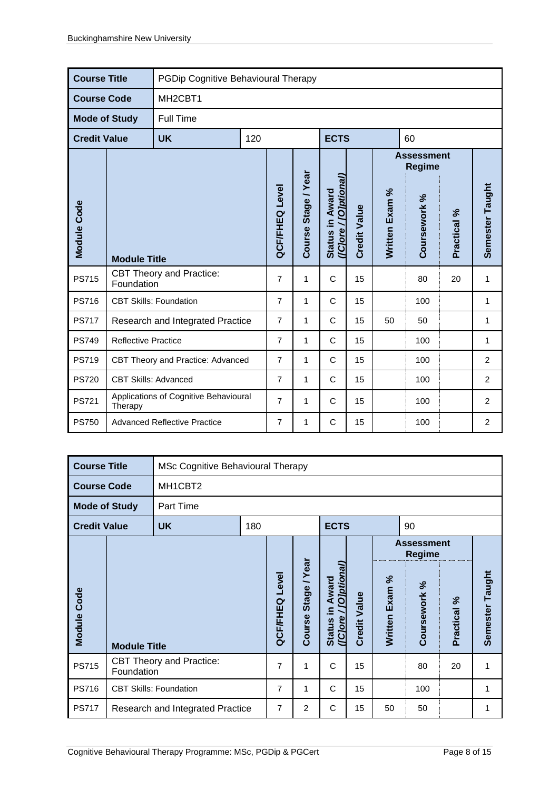| <b>Course Title</b>  |                                                  | PGDip Cognitive Behavioural Therapy |                |                       |                     |                                          |                     |                |                                    |                |                 |
|----------------------|--------------------------------------------------|-------------------------------------|----------------|-----------------------|---------------------|------------------------------------------|---------------------|----------------|------------------------------------|----------------|-----------------|
| <b>Course Code</b>   |                                                  | MH <sub>2</sub> CBT <sub>1</sub>    |                |                       |                     |                                          |                     |                |                                    |                |                 |
| <b>Mode of Study</b> |                                                  | <b>Full Time</b>                    |                |                       |                     |                                          |                     |                |                                    |                |                 |
| <b>Credit Value</b>  |                                                  | <b>UK</b>                           | 120            |                       |                     | <b>ECTS</b>                              |                     | 60             |                                    |                |                 |
|                      |                                                  |                                     |                |                       |                     |                                          |                     |                | <b>Assessment</b><br><b>Regime</b> |                |                 |
| Module Code          | <b>Module Title</b>                              |                                     |                | <b>QCF/FHEQ Level</b> | Course Stage / Year | (ICJore / [O]ptional)<br>Status in Award | <b>Credit Value</b> | Written Exam % | Coursework %                       | Practical %    | Semester Taught |
| <b>PS715</b>         | Foundation                                       | <b>CBT Theory and Practice:</b>     |                | $\overline{7}$        | 1                   | $\mathsf{C}$                             | 15                  |                | 80                                 | 20             | 1               |
| <b>PS716</b>         |                                                  | <b>CBT Skills: Foundation</b>       |                | $\overline{7}$        | 1                   | C                                        | 15                  |                | 100                                |                | 1               |
| <b>PS717</b>         |                                                  | Research and Integrated Practice    |                | $\overline{7}$        | 1                   | C                                        | 15                  | 50             | 50                                 |                | 1               |
| <b>PS749</b>         | <b>Reflective Practice</b>                       |                                     |                | $\overline{7}$        | 1                   | C                                        | 15                  |                | 100                                |                | 1               |
| <b>PS719</b>         | CBT Theory and Practice: Advanced                |                                     |                | $\overline{7}$        | 1                   | C                                        | 15                  |                | 100                                |                | $\overline{2}$  |
| <b>PS720</b>         | <b>CBT Skills: Advanced</b>                      |                                     | $\overline{7}$ | 1                     | C                   | 15                                       |                     | 100            |                                    | $\overline{2}$ |                 |
| <b>PS721</b>         | Applications of Cognitive Behavioural<br>Therapy |                                     |                | $\overline{7}$        | 1                   | C                                        | 15                  |                | 100                                |                | 2               |
| <b>PS750</b>         |                                                  | <b>Advanced Reflective Practice</b> |                |                       | 1                   | C                                        | 15                  |                | 100                                |                | $\overline{2}$  |

| <b>Course Title</b>  |                               | MSc Cognitive Behavioural Therapy |     |                       |                        |                                                               |                     |                |                             |             |                 |
|----------------------|-------------------------------|-----------------------------------|-----|-----------------------|------------------------|---------------------------------------------------------------|---------------------|----------------|-----------------------------|-------------|-----------------|
| <b>Course Code</b>   |                               | MH1CBT2                           |     |                       |                        |                                                               |                     |                |                             |             |                 |
| <b>Mode of Study</b> |                               | Part Time                         |     |                       |                        |                                                               |                     |                |                             |             |                 |
| <b>Credit Value</b>  |                               | <b>UK</b>                         | 180 |                       |                        | <b>ECTS</b>                                                   |                     |                | 90                          |             |                 |
|                      |                               |                                   |     |                       |                        |                                                               |                     |                | <b>Assessment</b><br>Regime |             |                 |
| <b>Module Code</b>   | <b>Module Title</b>           |                                   |     | <b>QCF/FHEQ Level</b> | Stage / Year<br>Course | [O]ptional<br>Award<br><u>ء</u> .<br>(Clore)<br><b>Status</b> | <b>Credit Value</b> | Written Exam % | Coursework %                | Practical % | Semester Taught |
| <b>PS715</b>         | Foundation                    | <b>CBT Theory and Practice:</b>   |     | 7                     | 1                      | C                                                             | 15                  |                | 80                          | 20          | 1               |
| <b>PS716</b>         | <b>CBT Skills: Foundation</b> |                                   |     | $\overline{7}$        | 1                      | C                                                             | 15                  |                | 100                         |             | 1               |
| <b>PS717</b>         |                               | Research and Integrated Practice  |     |                       | 2                      | C                                                             | 15                  | 50             | 50                          |             | 1               |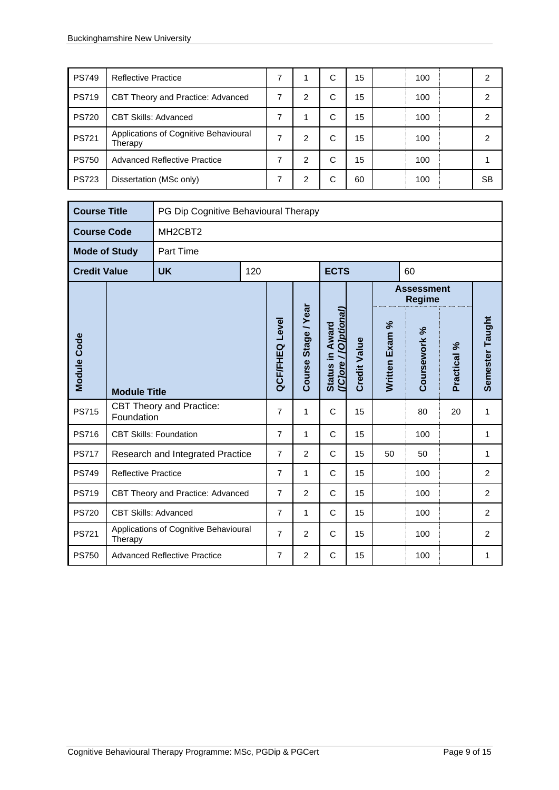| <b>PS749</b> | <b>Reflective Practice</b>                       |   |   | С | 15 | 100 | 2  |
|--------------|--------------------------------------------------|---|---|---|----|-----|----|
| <b>PS719</b> | CBT Theory and Practice: Advanced                | 7 | 2 | С | 15 | 100 | 2  |
| <b>PS720</b> | <b>CBT Skills: Advanced</b>                      | 7 |   | C | 15 | 100 | 2  |
| <b>PS721</b> | Applications of Cognitive Behavioural<br>Therapy | 7 | 2 | С | 15 | 100 | 2  |
| <b>PS750</b> | <b>Advanced Reflective Practice</b>              | 7 | 2 | C | 15 | 100 |    |
| <b>PS723</b> | Dissertation (MSc only)                          |   | 2 | С | 60 | 100 | SВ |

| <b>Course Title</b>  |                             |                                       | PG Dip Cognitive Behavioural Therapy |                |                     |                                          |                     |                |                                    |             |                 |  |  |
|----------------------|-----------------------------|---------------------------------------|--------------------------------------|----------------|---------------------|------------------------------------------|---------------------|----------------|------------------------------------|-------------|-----------------|--|--|
| <b>Course Code</b>   |                             | MH <sub>2</sub> CBT <sub>2</sub>      |                                      |                |                     |                                          |                     |                |                                    |             |                 |  |  |
| <b>Mode of Study</b> |                             | <b>Part Time</b>                      |                                      |                |                     |                                          |                     |                |                                    |             |                 |  |  |
| <b>Credit Value</b>  |                             | <b>UK</b>                             | 120                                  |                |                     | <b>ECTS</b>                              |                     |                | 60                                 |             |                 |  |  |
|                      |                             |                                       |                                      |                |                     |                                          |                     |                | <b>Assessment</b><br><b>Regime</b> |             |                 |  |  |
| Module Code          | <b>Module Title</b>         |                                       |                                      | QCF/FHEQ Level | Course Stage / Year | (IClore / [O]ptional)<br>Status in Award | <b>Credit Value</b> | Written Exam % | Coursework %                       | Practical % | Semester Taught |  |  |
| <b>PS715</b>         | Foundation                  | <b>CBT Theory and Practice:</b>       |                                      | $\overline{7}$ | 1                   | C                                        | 15                  |                | 80                                 | 20          | 1               |  |  |
| <b>PS716</b>         |                             | <b>CBT Skills: Foundation</b>         |                                      | $\overline{7}$ | 1                   | $\mathsf{C}$                             | 15                  |                | 100                                |             | 1               |  |  |
| <b>PS717</b>         |                             | Research and Integrated Practice      |                                      | $\overline{7}$ | 2                   | C                                        | 15                  | 50             | 50                                 |             | 1               |  |  |
| <b>PS749</b>         | <b>Reflective Practice</b>  |                                       |                                      | $\overline{7}$ | 1                   | C                                        | 15                  |                | 100                                |             | 2               |  |  |
| <b>PS719</b>         |                             | CBT Theory and Practice: Advanced     |                                      | 7              | $\overline{2}$      | C                                        | 15                  |                | 100                                |             | $\overline{2}$  |  |  |
| <b>PS720</b>         | <b>CBT Skills: Advanced</b> |                                       |                                      | $\overline{7}$ | 1                   | C                                        | 15                  |                | 100                                |             | $\overline{2}$  |  |  |
| <b>PS721</b>         | Therapy                     | Applications of Cognitive Behavioural |                                      | 7              | 2                   | C                                        | 15                  |                | 100                                |             | 2               |  |  |
| <b>PS750</b>         |                             | <b>Advanced Reflective Practice</b>   |                                      |                | $\overline{2}$      | C                                        | 15                  |                | 100                                |             | 1               |  |  |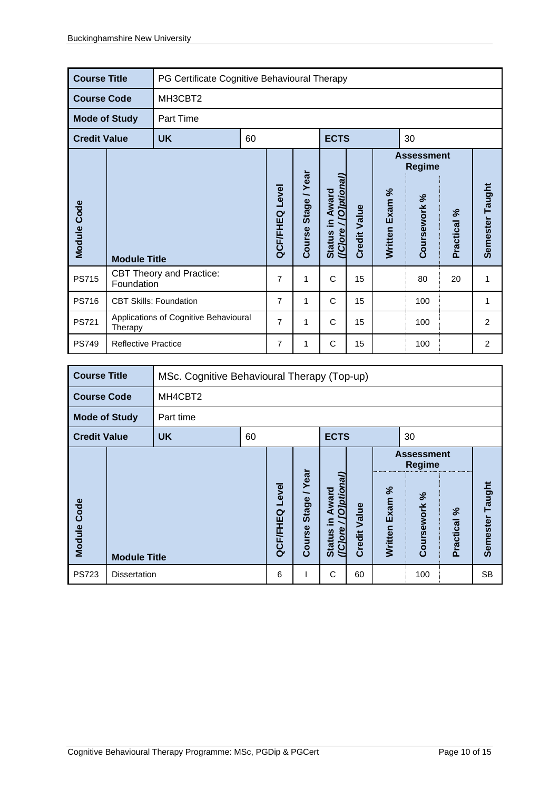| <b>Course Title</b>  |                            | PG Certificate Cognitive Behavioural Therapy |    |                       |                          |                                                |                     |                |                                    |             |                 |
|----------------------|----------------------------|----------------------------------------------|----|-----------------------|--------------------------|------------------------------------------------|---------------------|----------------|------------------------------------|-------------|-----------------|
| <b>Course Code</b>   |                            | MH3CBT2                                      |    |                       |                          |                                                |                     |                |                                    |             |                 |
| <b>Mode of Study</b> |                            | Part Time                                    |    |                       |                          |                                                |                     |                |                                    |             |                 |
| <b>Credit Value</b>  |                            | <b>UK</b>                                    | 60 |                       |                          | <b>ECTS</b>                                    |                     |                | 30                                 |             |                 |
|                      |                            |                                              |    |                       |                          |                                                |                     |                | <b>Assessment</b><br><b>Regime</b> |             |                 |
| Module Code          | <b>Module Title</b>        |                                              |    | <b>QCF/FHEQ Level</b> | /Year<br>Stage<br>Course | (ICJore / <i>[O]ptional</i><br>Status in Award | <b>Credit Value</b> | Written Exam % | Coursework %                       | Practical % | Semester Taught |
| <b>PS715</b>         | Foundation                 | <b>CBT Theory and Practice:</b>              |    | $\overline{7}$        | 1                        | $\mathsf{C}$                                   | 15                  |                | 80                                 | 20          | 1               |
| <b>PS716</b>         |                            | <b>CBT Skills: Foundation</b>                |    | $\overline{7}$        | 1                        | C                                              | 15                  |                | 100                                |             | 1               |
| <b>PS721</b>         | Therapy                    | Applications of Cognitive Behavioural        |    | $\overline{7}$        | 1                        | $\mathsf{C}$                                   | 15                  |                | 100                                |             | $\overline{2}$  |
| <b>PS749</b>         | <b>Reflective Practice</b> |                                              |    | $\overline{7}$        | 1                        | C                                              | 15                  |                | 100                                |             | $\overline{2}$  |

| <b>Course Title</b>  |                     | MSc. Cognitive Behavioural Therapy (Top-up) |                                    |                   |                         |                                                               |                     |                   |                 |             |                 |
|----------------------|---------------------|---------------------------------------------|------------------------------------|-------------------|-------------------------|---------------------------------------------------------------|---------------------|-------------------|-----------------|-------------|-----------------|
| <b>Course Code</b>   |                     | MH4CBT2                                     |                                    |                   |                         |                                                               |                     |                   |                 |             |                 |
| <b>Mode of Study</b> |                     | Part time                                   |                                    |                   |                         |                                                               |                     |                   |                 |             |                 |
| <b>Credit Value</b>  |                     | <b>UK</b>                                   | <b>ECTS</b><br>60<br>30            |                   |                         |                                                               |                     |                   |                 |             |                 |
|                      |                     |                                             | <b>Assessment</b><br><b>Regime</b> |                   |                         |                                                               |                     |                   |                 |             |                 |
| <b>Module Code</b>   | <b>Module Title</b> |                                             |                                    | Level<br>QCF/FHEQ | Year<br>Stage<br>Course | (Diptional<br>Award<br>$\equiv$<br>( [Clore]<br><b>Status</b> | <b>Credit Value</b> | Exam %<br>Written | వ<br>Coursework | Practical % | Semester Taught |
| <b>PS723</b>         | <b>Dissertation</b> |                                             |                                    | 6                 |                         | C                                                             | 60                  |                   | 100             |             | <b>SB</b>       |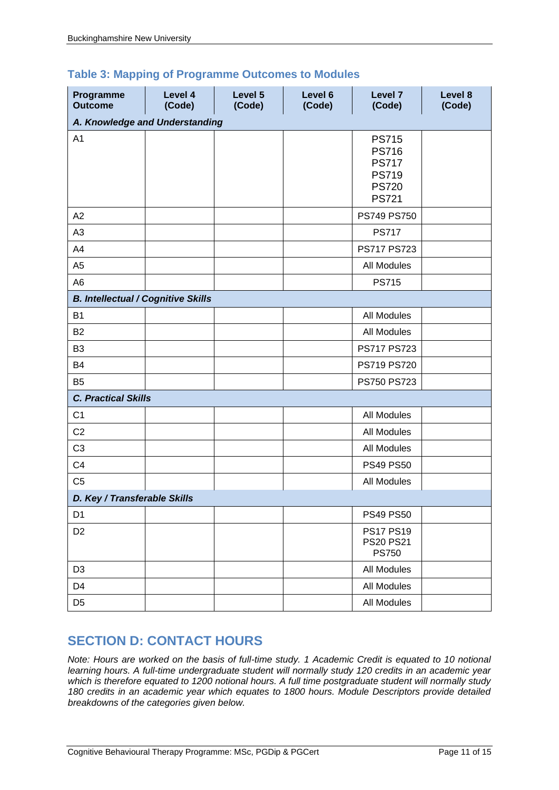| <b>Table 3: Mapping of Programme Outcomes to Modules</b> |  |  |  |  |  |
|----------------------------------------------------------|--|--|--|--|--|
|----------------------------------------------------------|--|--|--|--|--|

| Programme<br><b>Outcome</b>               | Level 4<br>(Code) | Level 5<br>(Code) | Level 6<br>(Code) | Level 7<br>(Code)                                                                            | Level 8<br>(Code) |
|-------------------------------------------|-------------------|-------------------|-------------------|----------------------------------------------------------------------------------------------|-------------------|
| A. Knowledge and Understanding            |                   |                   |                   |                                                                                              |                   |
| A <sub>1</sub>                            |                   |                   |                   | <b>PS715</b><br><b>PS716</b><br><b>PS717</b><br><b>PS719</b><br><b>PS720</b><br><b>PS721</b> |                   |
| A2                                        |                   |                   |                   | PS749 PS750                                                                                  |                   |
| A <sub>3</sub>                            |                   |                   |                   | <b>PS717</b>                                                                                 |                   |
| A4                                        |                   |                   |                   | PS717 PS723                                                                                  |                   |
| A <sub>5</sub>                            |                   |                   |                   | <b>All Modules</b>                                                                           |                   |
| A <sub>6</sub>                            |                   |                   |                   | <b>PS715</b>                                                                                 |                   |
| <b>B. Intellectual / Cognitive Skills</b> |                   |                   |                   |                                                                                              |                   |
| <b>B1</b>                                 |                   |                   |                   | <b>All Modules</b>                                                                           |                   |
| <b>B2</b>                                 |                   |                   |                   | All Modules                                                                                  |                   |
| B <sub>3</sub>                            |                   |                   |                   | PS717 PS723                                                                                  |                   |
| <b>B4</b>                                 |                   |                   |                   | PS719 PS720                                                                                  |                   |
| B <sub>5</sub>                            |                   |                   |                   | PS750 PS723                                                                                  |                   |
| <b>C. Practical Skills</b>                |                   |                   |                   |                                                                                              |                   |
| C <sub>1</sub>                            |                   |                   |                   | <b>All Modules</b>                                                                           |                   |
| C <sub>2</sub>                            |                   |                   |                   | All Modules                                                                                  |                   |
| C <sub>3</sub>                            |                   |                   |                   | All Modules                                                                                  |                   |
| C <sub>4</sub>                            |                   |                   |                   | <b>PS49 PS50</b>                                                                             |                   |
| C <sub>5</sub>                            |                   |                   |                   | <b>All Modules</b>                                                                           |                   |
| D. Key / Transferable Skills              |                   |                   |                   |                                                                                              |                   |
| D <sub>1</sub>                            |                   |                   |                   | <b>PS49 PS50</b>                                                                             |                   |
| D <sub>2</sub>                            |                   |                   |                   | <b>PS17 PS19</b><br><b>PS20 PS21</b><br><b>PS750</b>                                         |                   |
| D <sub>3</sub>                            |                   |                   |                   | All Modules                                                                                  |                   |
| D <sub>4</sub>                            |                   |                   |                   | All Modules                                                                                  |                   |
| D <sub>5</sub>                            |                   |                   |                   | All Modules                                                                                  |                   |

## **SECTION D: CONTACT HOURS**

*Note: Hours are worked on the basis of full-time study. 1 Academic Credit is equated to 10 notional learning hours. A full-time undergraduate student will normally study 120 credits in an academic year which is therefore equated to 1200 notional hours. A full time postgraduate student will normally study 180 credits in an academic year which equates to 1800 hours. Module Descriptors provide detailed breakdowns of the categories given below.*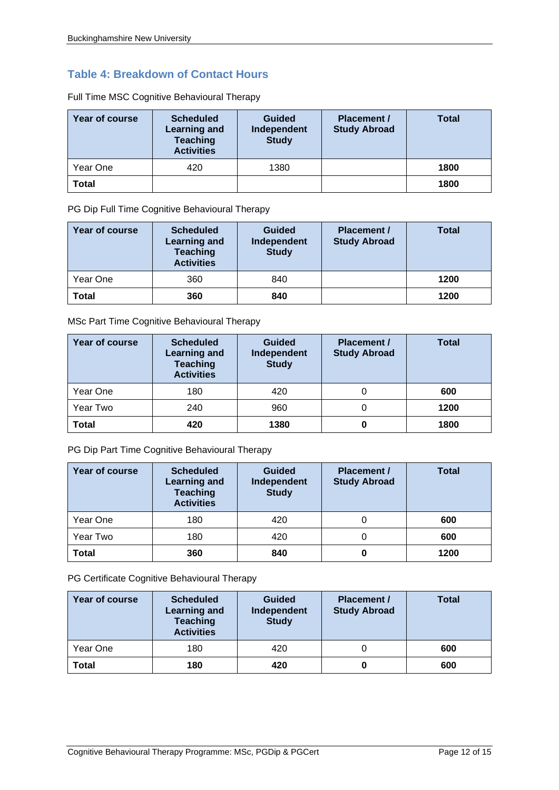### **Table 4: Breakdown of Contact Hours**

| Year of course | <b>Scheduled</b><br><b>Learning and</b><br><b>Teaching</b><br><b>Activities</b> | <b>Guided</b><br>Independent<br><b>Study</b> | <b>Placement /</b><br><b>Study Abroad</b> | <b>Total</b> |
|----------------|---------------------------------------------------------------------------------|----------------------------------------------|-------------------------------------------|--------------|
| Year One       | 420                                                                             | 1380                                         |                                           | 1800         |
| Total          |                                                                                 |                                              |                                           | 1800         |

Full Time MSC Cognitive Behavioural Therapy

PG Dip Full Time Cognitive Behavioural Therapy

| Year of course | <b>Scheduled</b><br><b>Learning and</b><br><b>Teaching</b><br><b>Activities</b> | <b>Guided</b><br>Independent<br><b>Study</b> | <b>Placement /</b><br><b>Study Abroad</b> | <b>Total</b> |
|----------------|---------------------------------------------------------------------------------|----------------------------------------------|-------------------------------------------|--------------|
| Year One       | 360                                                                             | 840                                          |                                           | 1200         |
| <b>Total</b>   | 360                                                                             | 840                                          |                                           | 1200         |

MSc Part Time Cognitive Behavioural Therapy

| Year of course | <b>Scheduled</b><br><b>Learning and</b><br><b>Teaching</b><br><b>Activities</b> | <b>Guided</b><br>Independent<br><b>Study</b> | <b>Placement /</b><br><b>Study Abroad</b> | Total |
|----------------|---------------------------------------------------------------------------------|----------------------------------------------|-------------------------------------------|-------|
| Year One       | 180                                                                             | 420                                          | 0                                         | 600   |
| Year Two       | 240                                                                             | 960                                          | 0                                         | 1200  |
| <b>Total</b>   | 420                                                                             | 1380                                         | 0                                         | 1800  |

PG Dip Part Time Cognitive Behavioural Therapy

| Year of course | <b>Scheduled</b><br><b>Learning and</b><br><b>Teaching</b><br><b>Activities</b> | <b>Guided</b><br>Independent<br><b>Study</b> | Placement /<br><b>Study Abroad</b> | Total |
|----------------|---------------------------------------------------------------------------------|----------------------------------------------|------------------------------------|-------|
| Year One       | 180                                                                             | 420                                          |                                    | 600   |
| Year Two       | 180                                                                             | 420                                          |                                    | 600   |
| Total          | 360                                                                             | 840                                          | 0                                  | 1200  |

PG Certificate Cognitive Behavioural Therapy

| Year of course | <b>Scheduled</b><br><b>Learning and</b><br><b>Teaching</b><br><b>Activities</b> | <b>Guided</b><br>Independent<br><b>Study</b> | <b>Placement /</b><br><b>Study Abroad</b> | <b>Total</b> |
|----------------|---------------------------------------------------------------------------------|----------------------------------------------|-------------------------------------------|--------------|
| Year One       | 180                                                                             | 420                                          |                                           | 600          |
| Total          | 180                                                                             | 420                                          |                                           | 600          |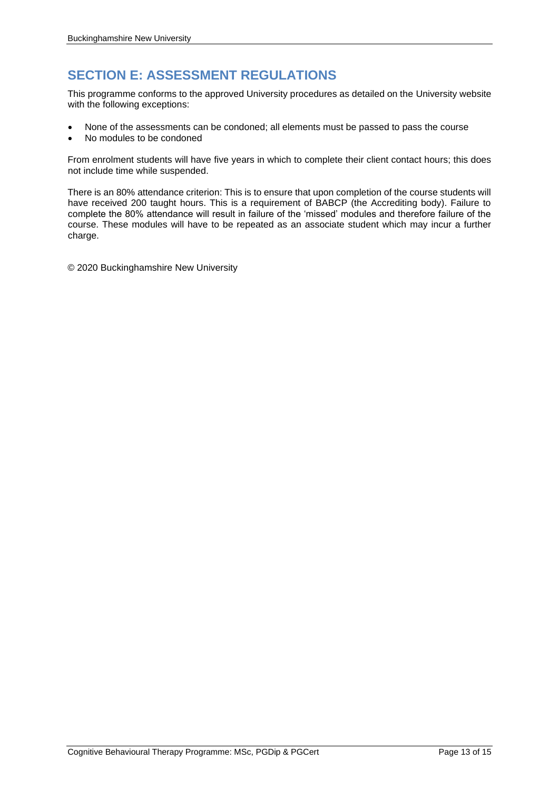## **SECTION E: ASSESSMENT REGULATIONS**

This programme conforms to the approved University procedures as detailed on the University website with the following exceptions:

- None of the assessments can be condoned; all elements must be passed to pass the course
- No modules to be condoned

From enrolment students will have five years in which to complete their client contact hours; this does not include time while suspended.

There is an 80% attendance criterion: This is to ensure that upon completion of the course students will have received 200 taught hours. This is a requirement of BABCP (the Accrediting body). Failure to complete the 80% attendance will result in failure of the 'missed' modules and therefore failure of the course. These modules will have to be repeated as an associate student which may incur a further charge.

© 2020 Buckinghamshire New University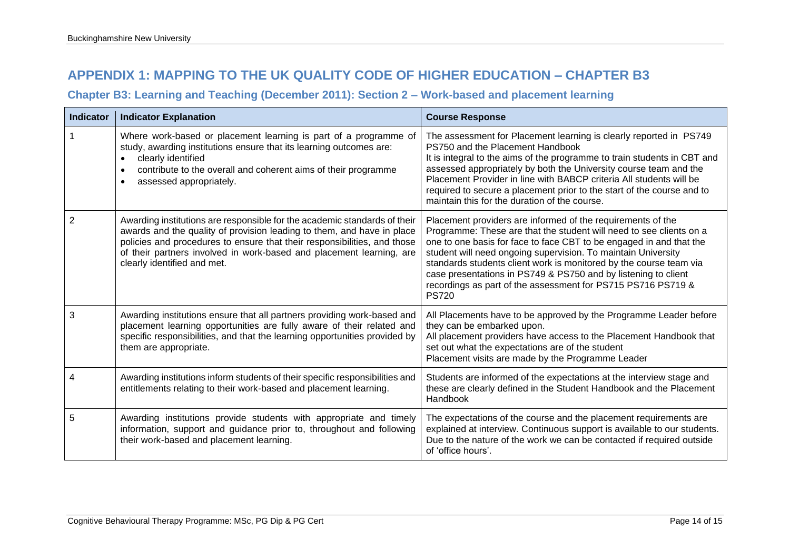## **APPENDIX 1: MAPPING TO THE UK QUALITY CODE OF HIGHER EDUCATION – CHAPTER B3**

#### **Chapter B3: Learning and Teaching (December 2011): Section 2 – Work-based and placement learning**

| <b>Indicator</b> | <b>Indicator Explanation</b>                                                                                                                                                                                                                                                                                                           | <b>Course Response</b>                                                                                                                                                                                                                                                                                                                                                                                                                                                                             |
|------------------|----------------------------------------------------------------------------------------------------------------------------------------------------------------------------------------------------------------------------------------------------------------------------------------------------------------------------------------|----------------------------------------------------------------------------------------------------------------------------------------------------------------------------------------------------------------------------------------------------------------------------------------------------------------------------------------------------------------------------------------------------------------------------------------------------------------------------------------------------|
|                  | Where work-based or placement learning is part of a programme of<br>study, awarding institutions ensure that its learning outcomes are:<br>clearly identified<br>contribute to the overall and coherent aims of their programme<br>assessed appropriately.                                                                             | The assessment for Placement learning is clearly reported in PS749<br>PS750 and the Placement Handbook<br>It is integral to the aims of the programme to train students in CBT and<br>assessed appropriately by both the University course team and the<br>Placement Provider in line with BABCP criteria All students will be<br>required to secure a placement prior to the start of the course and to<br>maintain this for the duration of the course.                                          |
| 2                | Awarding institutions are responsible for the academic standards of their<br>awards and the quality of provision leading to them, and have in place<br>policies and procedures to ensure that their responsibilities, and those<br>of their partners involved in work-based and placement learning, are<br>clearly identified and met. | Placement providers are informed of the requirements of the<br>Programme: These are that the student will need to see clients on a<br>one to one basis for face to face CBT to be engaged in and that the<br>student will need ongoing supervision. To maintain University<br>standards students client work is monitored by the course team via<br>case presentations in PS749 & PS750 and by listening to client<br>recordings as part of the assessment for PS715 PS716 PS719 &<br><b>PS720</b> |
| 3                | Awarding institutions ensure that all partners providing work-based and<br>placement learning opportunities are fully aware of their related and<br>specific responsibilities, and that the learning opportunities provided by<br>them are appropriate.                                                                                | All Placements have to be approved by the Programme Leader before<br>they can be embarked upon.<br>All placement providers have access to the Placement Handbook that<br>set out what the expectations are of the student<br>Placement visits are made by the Programme Leader                                                                                                                                                                                                                     |
|                  | Awarding institutions inform students of their specific responsibilities and<br>entitlements relating to their work-based and placement learning.                                                                                                                                                                                      | Students are informed of the expectations at the interview stage and<br>these are clearly defined in the Student Handbook and the Placement<br>Handbook                                                                                                                                                                                                                                                                                                                                            |
| 5                | Awarding institutions provide students with appropriate and timely<br>information, support and guidance prior to, throughout and following<br>their work-based and placement learning.                                                                                                                                                 | The expectations of the course and the placement requirements are<br>explained at interview. Continuous support is available to our students.<br>Due to the nature of the work we can be contacted if required outside<br>of 'office hours'.                                                                                                                                                                                                                                                       |